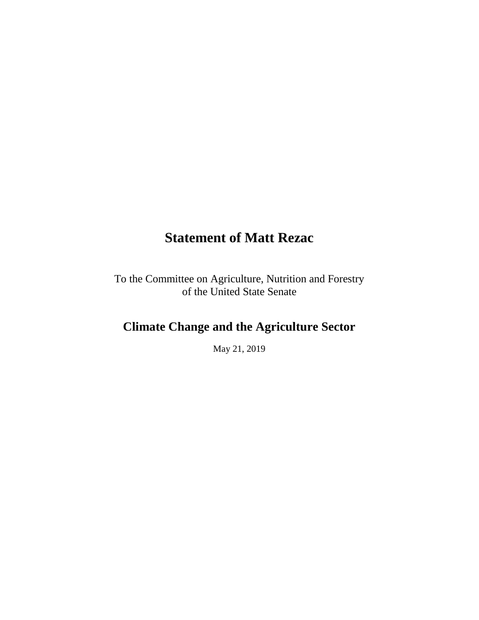# **Statement of Matt Rezac**

To the Committee on Agriculture, Nutrition and Forestry of the United State Senate

# **Climate Change and the Agriculture Sector**

May 21, 2019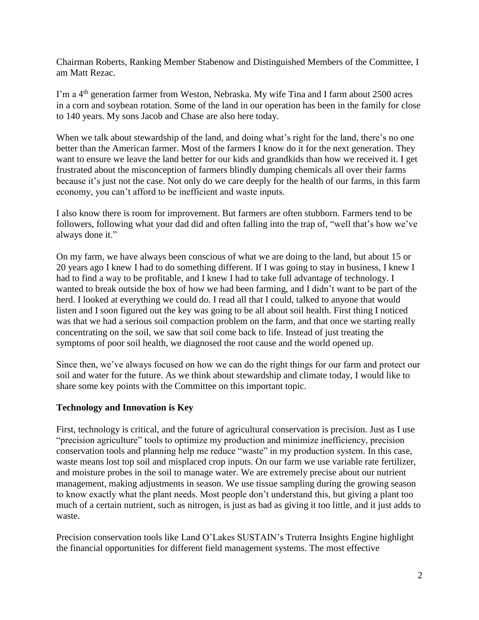Chairman Roberts, Ranking Member Stabenow and Distinguished Members of the Committee, I am Matt Rezac.

I'm a 4th generation farmer from Weston, Nebraska. My wife Tina and I farm about 2500 acres in a corn and soybean rotation. Some of the land in our operation has been in the family for close to 140 years. My sons Jacob and Chase are also here today.

When we talk about stewardship of the land, and doing what's right for the land, there's no one better than the American farmer. Most of the farmers I know do it for the next generation. They want to ensure we leave the land better for our kids and grandkids than how we received it. I get frustrated about the misconception of farmers blindly dumping chemicals all over their farms because it's just not the case. Not only do we care deeply for the health of our farms, in this farm economy, you can't afford to be inefficient and waste inputs.

I also know there is room for improvement. But farmers are often stubborn. Farmers tend to be followers, following what your dad did and often falling into the trap of, "well that's how we've always done it."

On my farm, we have always been conscious of what we are doing to the land, but about 15 or 20 years ago I knew I had to do something different. If I was going to stay in business, I knew I had to find a way to be profitable, and I knew I had to take full advantage of technology. I wanted to break outside the box of how we had been farming, and I didn't want to be part of the herd. I looked at everything we could do. I read all that I could, talked to anyone that would listen and I soon figured out the key was going to be all about soil health. First thing I noticed was that we had a serious soil compaction problem on the farm, and that once we starting really concentrating on the soil, we saw that soil come back to life. Instead of just treating the symptoms of poor soil health, we diagnosed the root cause and the world opened up.

Since then, we've always focused on how we can do the right things for our farm and protect our soil and water for the future. As we think about stewardship and climate today, I would like to share some key points with the Committee on this important topic.

#### **Technology and Innovation is Key**

First, technology is critical, and the future of agricultural conservation is precision. Just as I use "precision agriculture" tools to optimize my production and minimize inefficiency, precision conservation tools and planning help me reduce "waste" in my production system. In this case, waste means lost top soil and misplaced crop inputs. On our farm we use variable rate fertilizer, and moisture probes in the soil to manage water. We are extremely precise about our nutrient management, making adjustments in season. We use tissue sampling during the growing season to know exactly what the plant needs. Most people don't understand this, but giving a plant too much of a certain nutrient, such as nitrogen, is just as bad as giving it too little, and it just adds to waste.

Precision conservation tools like Land O'Lakes SUSTAIN's Truterra Insights Engine highlight the financial opportunities for different field management systems. The most effective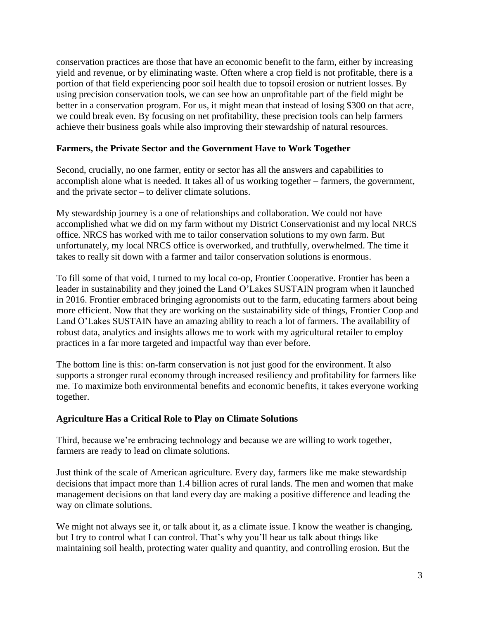conservation practices are those that have an economic benefit to the farm, either by increasing yield and revenue, or by eliminating waste. Often where a crop field is not profitable, there is a portion of that field experiencing poor soil health due to topsoil erosion or nutrient losses. By using precision conservation tools, we can see how an unprofitable part of the field might be better in a conservation program. For us, it might mean that instead of losing \$300 on that acre, we could break even. By focusing on net profitability, these precision tools can help farmers achieve their business goals while also improving their stewardship of natural resources.

### **Farmers, the Private Sector and the Government Have to Work Together**

Second, crucially, no one farmer, entity or sector has all the answers and capabilities to accomplish alone what is needed. It takes all of us working together – farmers, the government, and the private sector – to deliver climate solutions.

My stewardship journey is a one of relationships and collaboration. We could not have accomplished what we did on my farm without my District Conservationist and my local NRCS office. NRCS has worked with me to tailor conservation solutions to my own farm. But unfortunately, my local NRCS office is overworked, and truthfully, overwhelmed. The time it takes to really sit down with a farmer and tailor conservation solutions is enormous.

To fill some of that void, I turned to my local co-op, Frontier Cooperative. Frontier has been a leader in sustainability and they joined the Land O'Lakes SUSTAIN program when it launched in 2016. Frontier embraced bringing agronomists out to the farm, educating farmers about being more efficient. Now that they are working on the sustainability side of things, Frontier Coop and Land O'Lakes SUSTAIN have an amazing ability to reach a lot of farmers. The availability of robust data, analytics and insights allows me to work with my agricultural retailer to employ practices in a far more targeted and impactful way than ever before.

The bottom line is this: on-farm conservation is not just good for the environment. It also supports a stronger rural economy through increased resiliency and profitability for farmers like me. To maximize both environmental benefits and economic benefits, it takes everyone working together.

#### **Agriculture Has a Critical Role to Play on Climate Solutions**

Third, because we're embracing technology and because we are willing to work together, farmers are ready to lead on climate solutions.

Just think of the scale of American agriculture. Every day, farmers like me make stewardship decisions that impact more than 1.4 billion acres of rural lands. The men and women that make management decisions on that land every day are making a positive difference and leading the way on climate solutions.

We might not always see it, or talk about it, as a climate issue. I know the weather is changing, but I try to control what I can control. That's why you'll hear us talk about things like maintaining soil health, protecting water quality and quantity, and controlling erosion. But the